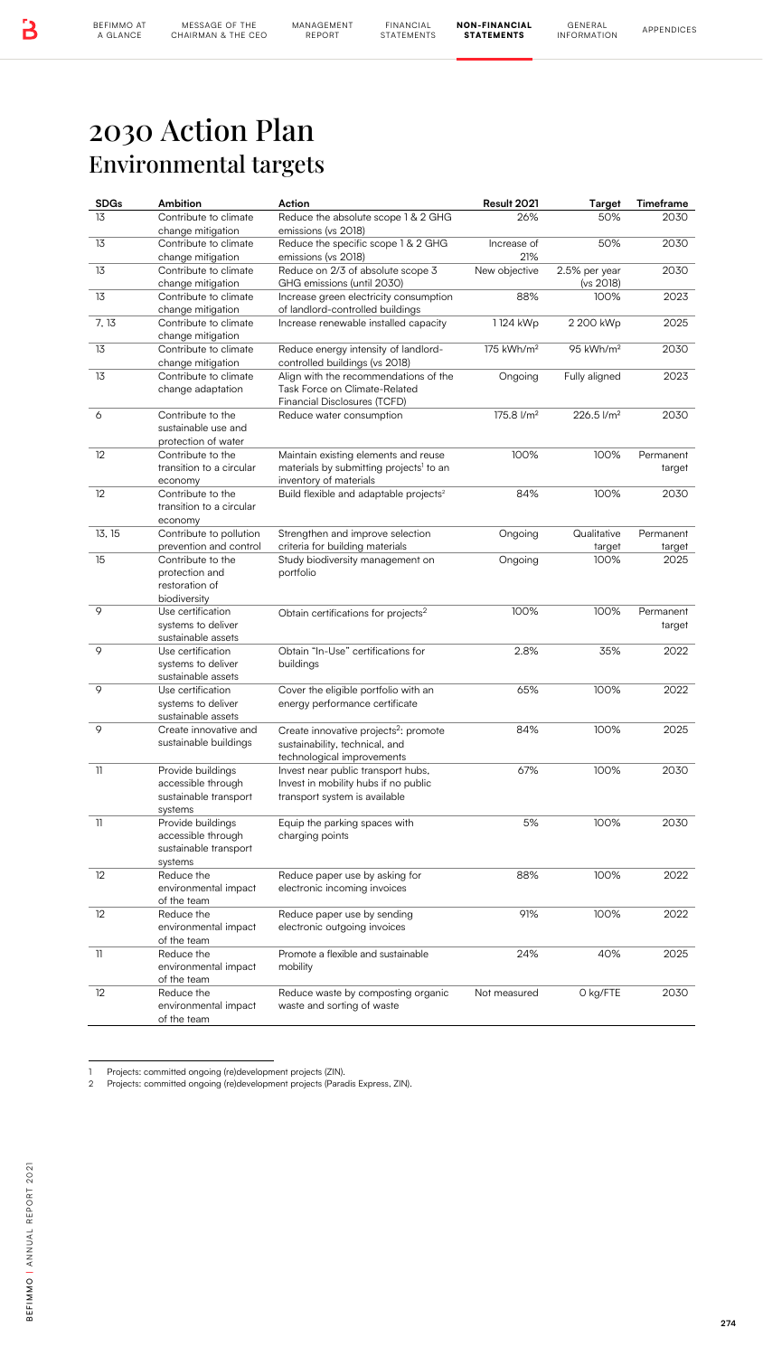BEFIMMO AT<br>A GLANCE

MANAGEMENT

NON-FINANCIAL STATEMENTS

## 2030 Action Plan Environmental targets

| <b>SDGs</b> | Ambition                                                                    | Action<br>Reduce the absolute scope 1 & 2 GHG                                                                         | Result 2021<br>26%     | Target                     | Timeframe           |
|-------------|-----------------------------------------------------------------------------|-----------------------------------------------------------------------------------------------------------------------|------------------------|----------------------------|---------------------|
|             | Contribute to climate<br>change mitigation                                  | emissions (vs 2018)                                                                                                   |                        | 50%                        | 2030                |
|             | Contribute to climate<br>change mitigation                                  | Reduce the specific scope 1 & 2 GHG<br>emissions (vs 2018)                                                            | Increase of<br>21%     | 50%                        | 2030                |
|             | Contribute to climate<br>change mitigation                                  | Reduce on 2/3 of absolute scope 3<br>GHG emissions (until 2030)                                                       | New objective          | 2.5% per year<br>(vs 2018) | 2030                |
|             | Contribute to climate<br>change mitigation                                  | Increase green electricity consumption<br>of landlord-controlled buildings                                            | 88%                    | 100%                       | 2023                |
| 7, 13       | Contribute to climate<br>change mitigation                                  | Increase renewable installed capacity                                                                                 | 1124 kWp               | 2 200 kWp                  | 2025                |
|             | Contribute to climate<br>change mitigation                                  | Reduce energy intensity of landlord-<br>controlled buildings (vs 2018)                                                | 175 kWh/m <sup>2</sup> | 95 kWh/m <sup>2</sup>      | 2030                |
|             | Contribute to climate<br>change adaptation                                  | Align with the recommendations of the<br>Task Force on Climate-Related<br>Financial Disclosures (TCFD)                | Ongoing                | Fully aligned              | 2023                |
|             | Contribute to the<br>sustainable use and<br>protection of water             | Reduce water consumption                                                                                              | 175.8 l/m <sup>2</sup> | 226.5 l/m <sup>2</sup>     | 2030                |
|             | Contribute to the<br>transition to a circular<br>economy                    | Maintain existing elements and reuse<br>materials by submitting projects <sup>1</sup> to an<br>inventory of materials | 100%                   | 100%                       | Permanent<br>target |
|             | Contribute to the<br>transition to a circular<br>economy                    | Build flexible and adaptable projects <sup>2</sup>                                                                    | 84%                    | 100%                       | 2030                |
| 13, 15      | Contribute to pollution<br>prevention and control                           | Strengthen and improve selection<br>criteria for building materials                                                   | Ongoing                | Qualitative<br>target      | Permanent<br>target |
|             | Contribute to the<br>protection and<br>restoration of<br>biodiversity       | Study biodiversity management on<br>portfolio                                                                         | Ongoing                | 100%                       | 2025                |
|             | Use certification<br>systems to deliver<br>sustainable assets               | Obtain certifications for projects <sup>2</sup>                                                                       | 100%                   | 100%                       | Permanent<br>target |
|             | Use certification<br>systems to deliver<br>sustainable assets               | Obtain "In-Use" certifications for<br>buildings                                                                       | 2.8%                   | 35%                        | 2022                |
|             | Use certification<br>systems to deliver<br>sustainable assets               | Cover the eligible portfolio with an<br>energy performance certificate                                                | 65%                    | 100%                       | 2022                |
|             | Create innovative and<br>sustainable buildings                              | Create innovative projects <sup>2</sup> : promote<br>sustainability, technical, and<br>technological improvements     | 84%                    | 100%                       | 2025                |
|             | Provide buildings<br>accessible through<br>sustainable transport<br>systems | Invest near public transport hubs,<br>Invest in mobility hubs if no public<br>transport system is available           | 67%                    | 100%                       | 2030                |
|             | Provide buildings<br>accessible through<br>sustainable transport<br>systems | Equip the parking spaces with<br>charging points                                                                      | 5%                     | 100%                       | 2030                |
|             | Reduce the<br>environmental impact<br>of the team                           | Reduce paper use by asking for<br>electronic incoming invoices                                                        | 88%                    | 100%                       | 2022                |
|             | Reduce the<br>environmental impact<br>of the team                           | Reduce paper use by sending<br>electronic outgoing invoices                                                           | 91%                    | 100%                       | 2022                |
|             | Reduce the<br>environmental impact<br>of the team                           | Promote a flexible and sustainable<br>mobility                                                                        | 24%                    | 40%                        | 2025                |
|             | Reduce the<br>environmental impact<br>of the team                           | Reduce waste by composting organic<br>waste and sorting of waste                                                      | Not measured           | O kg/FTE                   | 2030                |